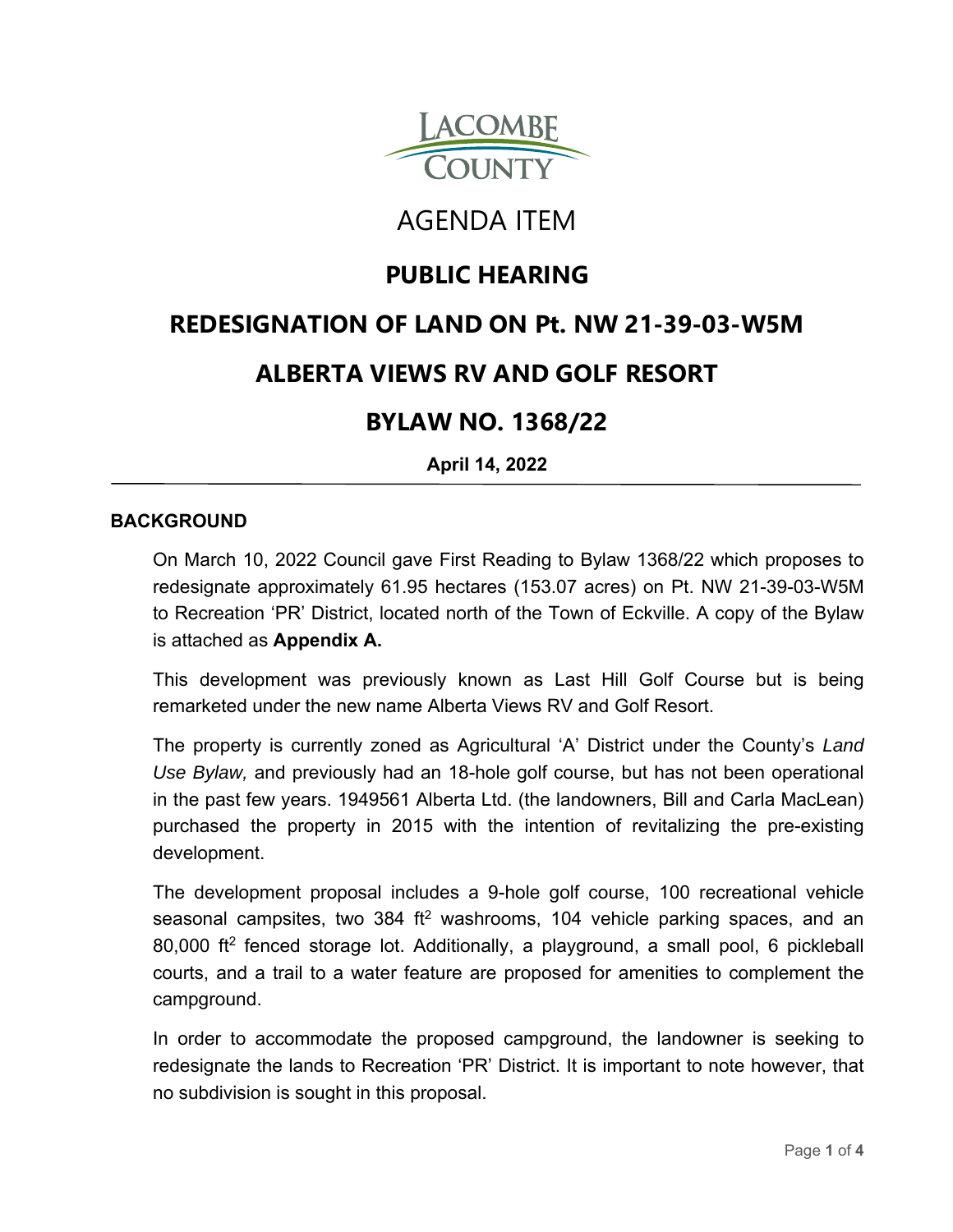

# AGENDA ITEM

## **PUBLIC HEARING**

## **REDESIGNATION OF LAND ON Pt. NW 21-39-03-W5M**

## **ALBERTA VIEWS RV AND GOLF RESORT**

### **BYLAW NO. 1368/22**

**April 14, 2022**

#### **BACKGROUND**

On March 10, 2022 Council gave First Reading to Bylaw 1368/22 which proposes to redesignate approximately 61.95 hectares (153.07 acres) on Pt. NW 21-39-03-W5M to Recreation 'PR' District, located north of the Town of Eckville. A copy of the Bylaw is attached as **Appendix A.**

This development was previously known as Last Hill Golf Course but is being remarketed under the new name Alberta Views RV and Golf Resort.

The property is currently zoned as Agricultural 'A' District under the County's *Land Use Bylaw,* and previously had an 18-hole golf course, but has not been operational in the past few years. 1949561 Alberta Ltd. (the landowners, Bill and Carla MacLean) purchased the property in 2015 with the intention of revitalizing the pre-existing development.

The development proposal includes a 9-hole golf course, 100 recreational vehicle seasonal campsites, two 384 ft<sup>2</sup> washrooms, 104 vehicle parking spaces, and an 80,000 ft2 fenced storage lot. Additionally, a playground, a small pool, 6 pickleball courts, and a trail to a water feature are proposed for amenities to complement the campground.

In order to accommodate the proposed campground, the landowner is seeking to redesignate the lands to Recreation 'PR' District. It is important to note however, that no subdivision is sought in this proposal.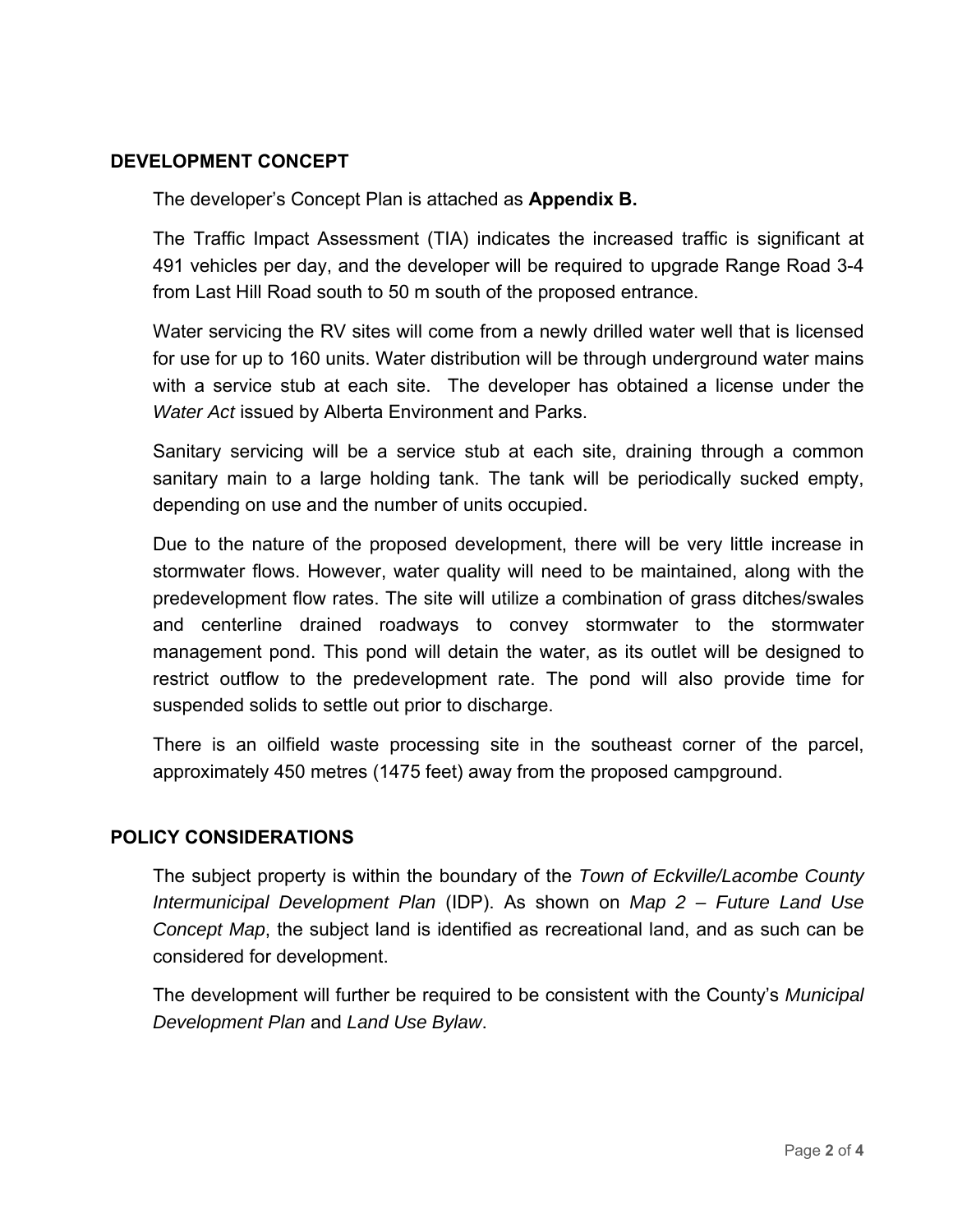#### **DEVELOPMENT CONCEPT**

The developer's Concept Plan is attached as **Appendix B.**

The Traffic Impact Assessment (TIA) indicates the increased traffic is significant at 491 vehicles per day, and the developer will be required to upgrade Range Road 3-4 from Last Hill Road south to 50 m south of the proposed entrance.

Water servicing the RV sites will come from a newly drilled water well that is licensed for use for up to 160 units. Water distribution will be through underground water mains with a service stub at each site. The developer has obtained a license under the *Water Act* issued by Alberta Environment and Parks.

Sanitary servicing will be a service stub at each site, draining through a common sanitary main to a large holding tank. The tank will be periodically sucked empty, depending on use and the number of units occupied.

Due to the nature of the proposed development, there will be very little increase in stormwater flows. However, water quality will need to be maintained, along with the predevelopment flow rates. The site will utilize a combination of grass ditches/swales and centerline drained roadways to convey stormwater to the stormwater management pond. This pond will detain the water, as its outlet will be designed to restrict outflow to the predevelopment rate. The pond will also provide time for suspended solids to settle out prior to discharge.

There is an oilfield waste processing site in the southeast corner of the parcel, approximately 450 metres (1475 feet) away from the proposed campground.

#### **POLICY CONSIDERATIONS**

The subject property is within the boundary of the *Town of Eckville/Lacombe County Intermunicipal Development Plan* (IDP). As shown on *Map 2 – Future Land Use Concept Map*, the subject land is identified as recreational land, and as such can be considered for development.

The development will further be required to be consistent with the County's *Municipal Development Plan* and *Land Use Bylaw*.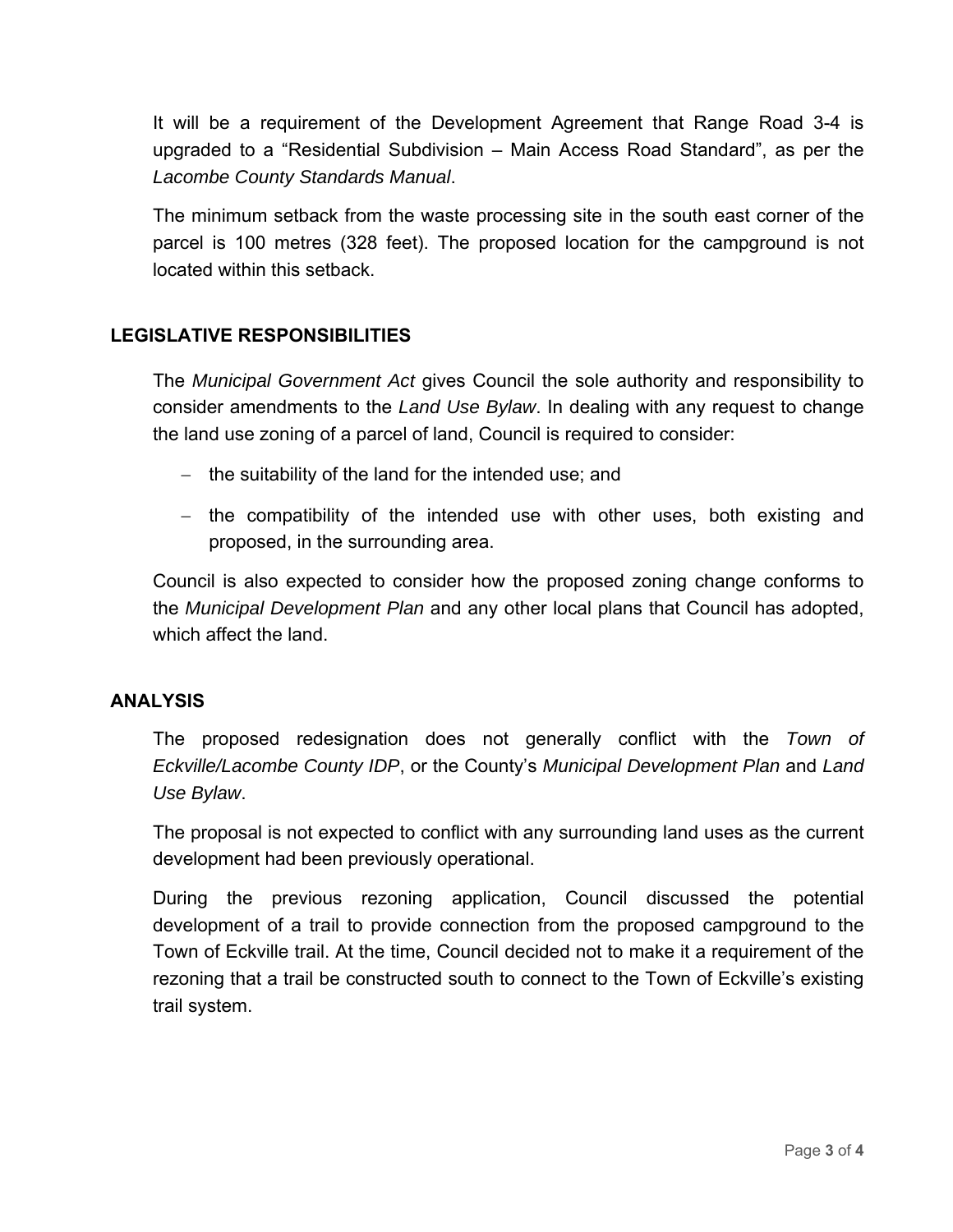It will be a requirement of the Development Agreement that Range Road 3-4 is upgraded to a "Residential Subdivision – Main Access Road Standard", as per the *Lacombe County Standards Manual*.

The minimum setback from the waste processing site in the south east corner of the parcel is 100 metres (328 feet). The proposed location for the campground is not located within this setback.

#### **LEGISLATIVE RESPONSIBILITIES**

The *Municipal Government Act* gives Council the sole authority and responsibility to consider amendments to the *Land Use Bylaw*. In dealing with any request to change the land use zoning of a parcel of land, Council is required to consider:

- $-$  the suitability of the land for the intended use; and
- $-$  the compatibility of the intended use with other uses, both existing and proposed, in the surrounding area.

Council is also expected to consider how the proposed zoning change conforms to the *Municipal Development Plan* and any other local plans that Council has adopted, which affect the land.

#### **ANALYSIS**

The proposed redesignation does not generally conflict with the *Town of Eckville/Lacombe County IDP*, or the County's *Municipal Development Plan* and *Land Use Bylaw*.

The proposal is not expected to conflict with any surrounding land uses as the current development had been previously operational.

During the previous rezoning application, Council discussed the potential development of a trail to provide connection from the proposed campground to the Town of Eckville trail. At the time, Council decided not to make it a requirement of the rezoning that a trail be constructed south to connect to the Town of Eckville's existing trail system.